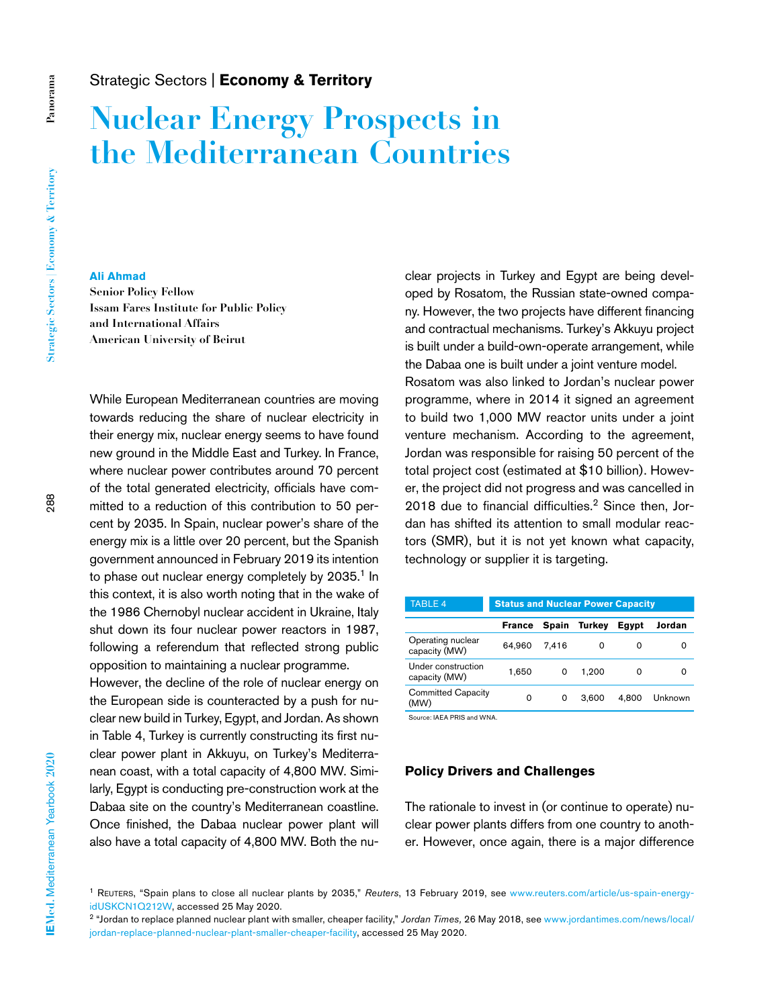# Strategic Sectors | **Economy & Territory**

# **Nuclear Energy Prospects in the Mediterranean Countries**

**Panorama**

Panorama

### **Ali Ahmad**

**Senior Policy Fellow Issam Fares Institute for Public Policy and International Affairs American University of Beirut** 

While European Mediterranean countries are moving towards reducing the share of nuclear electricity in their energy mix, nuclear energy seems to have found new ground in the Middle East and Turkey. In France, where nuclear power contributes around 70 percent of the total generated electricity, officials have committed to a reduction of this contribution to 50 percent by 2035. In Spain, nuclear power's share of the energy mix is a little over 20 percent, but the Spanish government announced in February 2019 its intention to phase out nuclear energy completely by  $2035$ .<sup>1</sup> In this context, it is also worth noting that in the wake of the 1986 Chernobyl nuclear accident in Ukraine, Italy shut down its four nuclear power reactors in 1987, following a referendum that reflected strong public opposition to maintaining a nuclear programme.

However, the decline of the role of nuclear energy on the European side is counteracted by a push for nuclear new build in Turkey, Egypt, and Jordan. As shown in Table 4, Turkey is currently constructing its first nuclear power plant in Akkuyu, on Turkey's Mediterranean coast, with a total capacity of 4,800 MW. Similarly, Egypt is conducting pre-construction work at the Dabaa site on the country's Mediterranean coastline. Once finished, the Dabaa nuclear power plant will also have a total capacity of 4,800 MW. Both the nuclear projects in Turkey and Egypt are being developed by Rosatom, the Russian state-owned company. However, the two projects have different financing and contractual mechanisms. Turkey's Akkuyu project is built under a build-own-operate arrangement, while the Dabaa one is built under a joint venture model. Rosatom was also linked to Jordan's nuclear power programme, where in 2014 it signed an agreement to build two 1,000 MW reactor units under a joint venture mechanism. According to the agreement, Jordan was responsible for raising 50 percent of the total project cost (estimated at \$10 billion). However, the project did not progress and was cancelled in 2018 due to financial difficulties.<sup>2</sup> Since then, Jordan has shifted its attention to small modular reactors (SMR), but it is not yet known what capacity, technology or supplier it is targeting.

| <b>TABLE 4</b>                      | <b>Status and Nuclear Power Capacity</b> |       |        |       |         |
|-------------------------------------|------------------------------------------|-------|--------|-------|---------|
|                                     | France                                   | Spain | Turkev | Egypt | Jordan  |
| Operating nuclear<br>capacity (MW)  | 64.960                                   | 7.416 | ი      | 0     | o       |
| Under construction<br>capacity (MW) | 1.650                                    | 0     | 1.200  | 0     | O       |
| <b>Committed Capacity</b><br>(MW)   | 0                                        | 0     | 3.600  | 4.800 | Unknown |

Source: IAEA PRIS and WNA.

## **Policy Drivers and Challenges**

The rationale to invest in (or continue to operate) nuclear power plants differs from one country to another. However, once again, there is a major difference

<sup>1</sup> Reuters, "Spain plans to close all nuclear plants by 2035," *Reuters*, 13 February 2019, see [www.reuters.com/article/us-spain-energy](http://www.reuters.com/article/us-spain-energy-idUSKCN1Q212W)[idUSKCN1Q212W,](http://www.reuters.com/article/us-spain-energy-idUSKCN1Q212W) accessed 25 May 2020.

<sup>2</sup> "Jordan to replace planned nuclear plant with smaller, cheaper facility," *Jordan Times,* 26 May 2018, see [www.jordantimes.com/news/local/](http://www.jordantimes.com/news/local/jordan-replace-planned-nuclear-plant-smaller-cheaper-facility) [jordan-replace-planned-nuclear-plant-smaller-cheaper-facility](http://www.jordantimes.com/news/local/jordan-replace-planned-nuclear-plant-smaller-cheaper-facility), accessed 25 May 2020.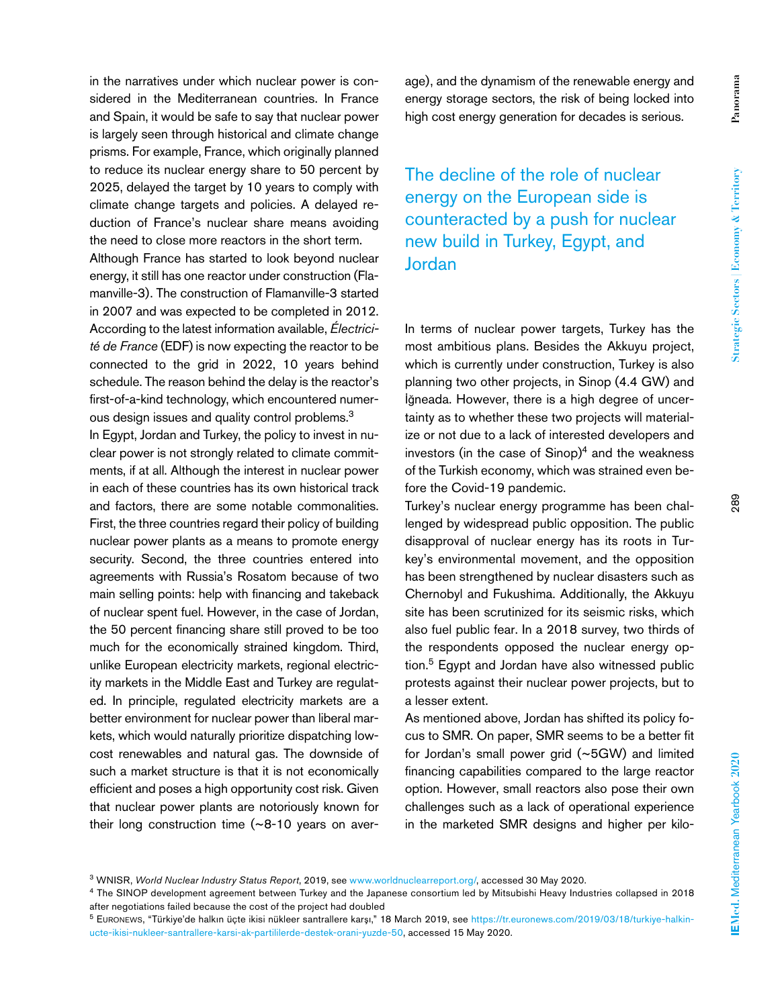in the narratives under which nuclear power is considered in the Mediterranean countries. In France and Spain, it would be safe to say that nuclear power is largely seen through historical and climate change prisms. For example, France, which originally planned to reduce its nuclear energy share to 50 percent by 2025, delayed the target by 10 years to comply with climate change targets and policies. A delayed reduction of France's nuclear share means avoiding the need to close more reactors in the short term.

Although France has started to look beyond nuclear energy, it still has one reactor under construction (Flamanville-3). The construction of Flamanville-3 started in 2007 and was expected to be completed in 2012. According to the latest information available, *Électricité de France* (EDF) is now expecting the reactor to be connected to the grid in 2022, 10 years behind schedule. The reason behind the delay is the reactor's first-of-a-kind technology, which encountered numerous design issues and quality control problems.3

In Egypt, Jordan and Turkey, the policy to invest in nuclear power is not strongly related to climate commitments, if at all. Although the interest in nuclear power in each of these countries has its own historical track and factors, there are some notable commonalities. First, the three countries regard their policy of building nuclear power plants as a means to promote energy security. Second, the three countries entered into agreements with Russia's Rosatom because of two main selling points: help with financing and takeback of nuclear spent fuel. However, in the case of Jordan, the 50 percent financing share still proved to be too much for the economically strained kingdom. Third, unlike European electricity markets, regional electricity markets in the Middle East and Turkey are regulated. In principle, regulated electricity markets are a better environment for nuclear power than liberal markets, which would naturally prioritize dispatching lowcost renewables and natural gas. The downside of such a market structure is that it is not economically efficient and poses a high opportunity cost risk. Given that nuclear power plants are notoriously known for their long construction time (~8-10 years on average), and the dynamism of the renewable energy and energy storage sectors, the risk of being locked into high cost energy generation for decades is serious.

The decline of the role of nuclear energy on the European side is counteracted by a push for nuclear new build in Turkey, Egypt, and Jordan

In terms of nuclear power targets, Turkey has the most ambitious plans. Besides the Akkuyu project, which is currently under construction, Turkey is also planning two other projects, in Sinop (4.4 GW) and İğneada. However, there is a high degree of uncertainty as to whether these two projects will materialize or not due to a lack of interested developers and investors (in the case of  $Sinop)^4$  and the weakness of the Turkish economy, which was strained even before the Covid-19 pandemic.

Turkey's nuclear energy programme has been challenged by widespread public opposition. The public disapproval of nuclear energy has its roots in Turkey's environmental movement, and the opposition has been strengthened by nuclear disasters such as Chernobyl and Fukushima. Additionally, the Akkuyu site has been scrutinized for its seismic risks, which also fuel public fear. In a 2018 survey, two thirds of the respondents opposed the nuclear energy option.5 Egypt and Jordan have also witnessed public protests against their nuclear power projects, but to a lesser extent.

As mentioned above, Jordan has shifted its policy focus to SMR. On paper, SMR seems to be a better fit for Jordan's small power grid (~5GW) and limited financing capabilities compared to the large reactor option. However, small reactors also pose their own challenges such as a lack of operational experience in the marketed SMR designs and higher per kilo-

<sup>3</sup> WNISR, *World Nuclear Industry Status Report*, 2019, see [www.worldnuclearreport.org/,](http://www.worldnuclearreport.org/) accessed 30 May 2020.

<sup>4</sup> The SINOP development agreement between Turkey and the Japanese consortium led by Mitsubishi Heavy Industries collapsed in 2018 after negotiations failed because the cost of the project had doubled

<sup>5</sup> Euronews, "Türkiye'de halkın üçte ikisi nükleer santrallere karşı," 18 March 2019, see [https://tr.euronews.com/2019/03/18/turkiye-halkin](https://tr.euronews.com/2019/03/18/turkiye-halkin-ucte-ikisi-nukleer-santrallere-karsi-ak-partililerde-destek-orani-yuzde-50)[ucte-ikisi-nukleer-santrallere-karsi-ak-partililerde-destek-orani-yuzde-50](https://tr.euronews.com/2019/03/18/turkiye-halkin-ucte-ikisi-nukleer-santrallere-karsi-ak-partililerde-destek-orani-yuzde-50), accessed 15 May 2020.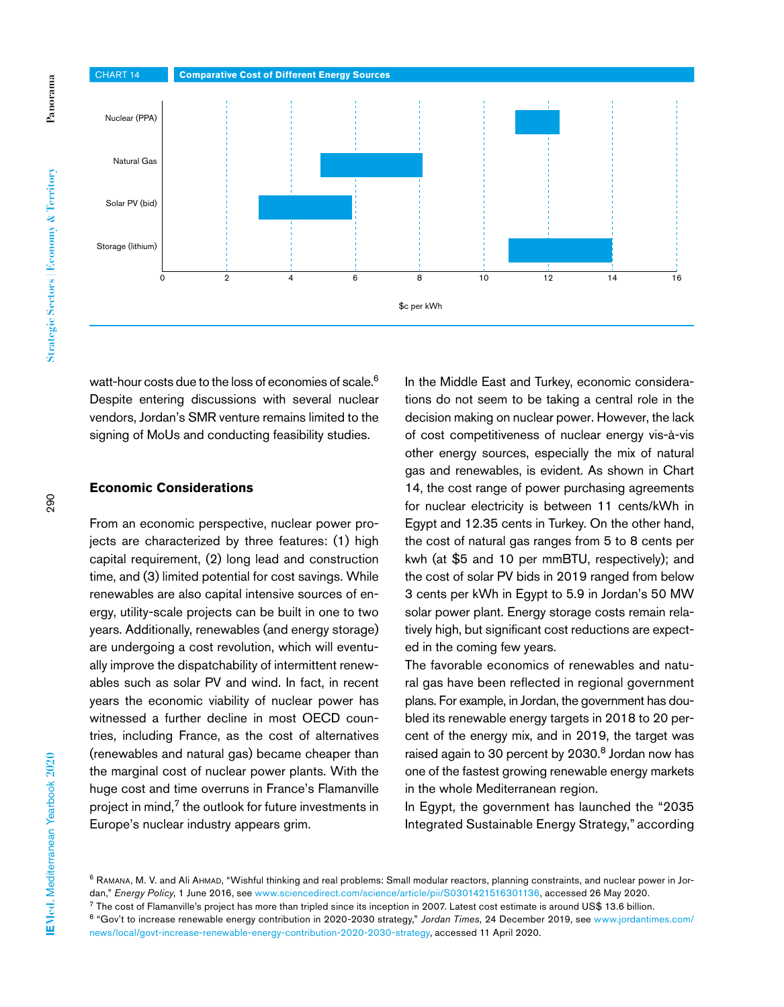

watt-hour costs due to the loss of economies of scale.<sup>6</sup> Despite entering discussions with several nuclear vendors, Jordan's SMR venture remains limited to the signing of MoUs and conducting feasibility studies.

#### **Economic Considerations**

From an economic perspective, nuclear power projects are characterized by three features: (1) high capital requirement, (2) long lead and construction time, and (3) limited potential for cost savings. While renewables are also capital intensive sources of energy, utility-scale projects can be built in one to two years. Additionally, renewables (and energy storage) are undergoing a cost revolution, which will eventually improve the dispatchability of intermittent renewables such as solar PV and wind. In fact, in recent years the economic viability of nuclear power has witnessed a further decline in most OECD countries, including France, as the cost of alternatives (renewables and natural gas) became cheaper than the marginal cost of nuclear power plants. With the huge cost and time overruns in France's Flamanville project in mind,<sup>7</sup> the outlook for future investments in Europe's nuclear industry appears grim.

In the Middle East and Turkey, economic considerations do not seem to be taking a central role in the decision making on nuclear power. However, the lack of cost competitiveness of nuclear energy vis-à-vis other energy sources, especially the mix of natural gas and renewables, is evident. As shown in Chart 14, the cost range of power purchasing agreements for nuclear electricity is between 11 cents/kWh in Egypt and 12.35 cents in Turkey. On the other hand, the cost of natural gas ranges from 5 to 8 cents per kwh (at \$5 and 10 per mmBTU, respectively); and the cost of solar PV bids in 2019 ranged from below 3 cents per kWh in Egypt to 5.9 in Jordan's 50 MW solar power plant. Energy storage costs remain relatively high, but significant cost reductions are expected in the coming few years.

The favorable economics of renewables and natural gas have been reflected in regional government plans. For example, in Jordan, the government has doubled its renewable energy targets in 2018 to 20 percent of the energy mix, and in 2019, the target was raised again to 30 percent by 2030.<sup>8</sup> Jordan now has one of the fastest growing renewable energy markets in the whole Mediterranean region.

In Egypt, the government has launched the "2035 Integrated Sustainable Energy Strategy," according

<sup>6</sup> RAMANA, M. V. and Ali AHMAD, "Wishful thinking and real problems: Small modular reactors, planning constraints, and nuclear power in Jordan," *Energy Policy*, 1 June 2016, see [www.sciencedirect.com/science/article/pii/S0301421516301136](http://www.sciencedirect.com/science/article/pii/S0301421516301136), accessed 26 May 2020.

<sup>7</sup> The cost of Flamanville's project has more than tripled since its inception in 2007. Latest cost estimate is around US\$ 13.6 billion.

<sup>8</sup> "Gov't to increase renewable energy contribution in 2020-2030 strategy," *Jordan Times*, 24 December 2019, see [www.jordantimes.com/](http://www.jordantimes.com/news/local/govt-increase-renewable-energy-contribution-2020-2030-strategy) [news/local/govt-increase-renewable-energy-contribution-2020-2030-strategy,](http://www.jordantimes.com/news/local/govt-increase-renewable-energy-contribution-2020-2030-strategy) accessed 11 April 2020.